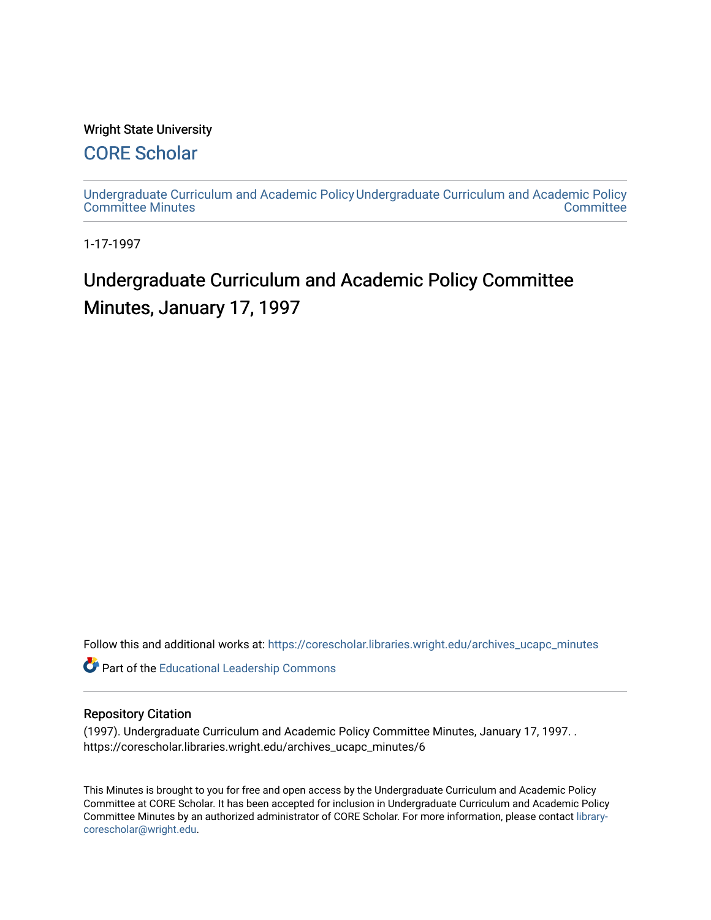#### Wright State University

## [CORE Scholar](https://corescholar.libraries.wright.edu/)

[Undergraduate Curriculum and Academic Policy](https://corescholar.libraries.wright.edu/archives_ucapc_minutes) [Undergraduate Curriculum and Academic Policy](https://corescholar.libraries.wright.edu/archives_ucapc)  [Committee Minutes](https://corescholar.libraries.wright.edu/archives_ucapc_minutes) **Committee** 

1-17-1997

# Undergraduate Curriculum and Academic Policy Committee Minutes, January 17, 1997

Follow this and additional works at: [https://corescholar.libraries.wright.edu/archives\\_ucapc\\_minutes](https://corescholar.libraries.wright.edu/archives_ucapc_minutes?utm_source=corescholar.libraries.wright.edu%2Farchives_ucapc_minutes%2F6&utm_medium=PDF&utm_campaign=PDFCoverPages) 

Part of the [Educational Leadership Commons](http://network.bepress.com/hgg/discipline/1230?utm_source=corescholar.libraries.wright.edu%2Farchives_ucapc_minutes%2F6&utm_medium=PDF&utm_campaign=PDFCoverPages) 

#### Repository Citation

(1997). Undergraduate Curriculum and Academic Policy Committee Minutes, January 17, 1997. . https://corescholar.libraries.wright.edu/archives\_ucapc\_minutes/6

This Minutes is brought to you for free and open access by the Undergraduate Curriculum and Academic Policy Committee at CORE Scholar. It has been accepted for inclusion in Undergraduate Curriculum and Academic Policy Committee Minutes by an authorized administrator of CORE Scholar. For more information, please contact [library](mailto:library-corescholar@wright.edu)[corescholar@wright.edu](mailto:library-corescholar@wright.edu).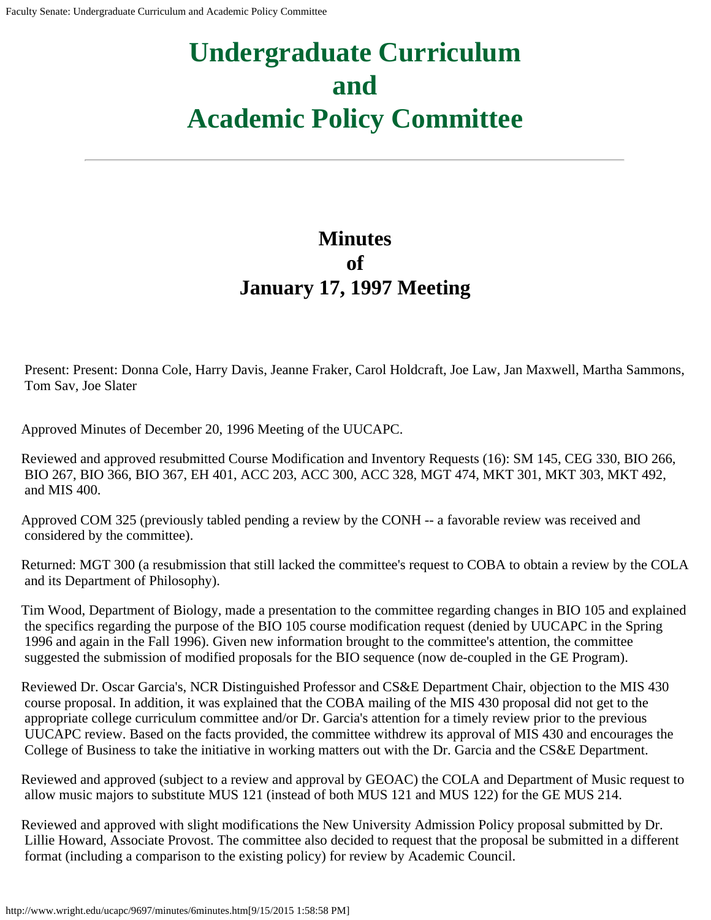# **Undergraduate Curriculum and Academic Policy Committee**

## **Minutes of January 17, 1997 Meeting**

Present: Present: Donna Cole, Harry Davis, Jeanne Fraker, Carol Holdcraft, Joe Law, Jan Maxwell, Martha Sammons, Tom Sav, Joe Slater

Approved Minutes of December 20, 1996 Meeting of the UUCAPC.

Reviewed and approved resubmitted Course Modification and Inventory Requests (16): SM 145, CEG 330, BIO 266, BIO 267, BIO 366, BIO 367, EH 401, ACC 203, ACC 300, ACC 328, MGT 474, MKT 301, MKT 303, MKT 492, and MIS 400.

Approved COM 325 (previously tabled pending a review by the CONH -- a favorable review was received and considered by the committee).

Returned: MGT 300 (a resubmission that still lacked the committee's request to COBA to obtain a review by the COLA and its Department of Philosophy).

Tim Wood, Department of Biology, made a presentation to the committee regarding changes in BIO 105 and explained the specifics regarding the purpose of the BIO 105 course modification request (denied by UUCAPC in the Spring 1996 and again in the Fall 1996). Given new information brought to the committee's attention, the committee suggested the submission of modified proposals for the BIO sequence (now de-coupled in the GE Program).

Reviewed Dr. Oscar Garcia's, NCR Distinguished Professor and CS&E Department Chair, objection to the MIS 430 course proposal. In addition, it was explained that the COBA mailing of the MIS 430 proposal did not get to the appropriate college curriculum committee and/or Dr. Garcia's attention for a timely review prior to the previous UUCAPC review. Based on the facts provided, the committee withdrew its approval of MIS 430 and encourages the College of Business to take the initiative in working matters out with the Dr. Garcia and the CS&E Department.

Reviewed and approved (subject to a review and approval by GEOAC) the COLA and Department of Music request to allow music majors to substitute MUS 121 (instead of both MUS 121 and MUS 122) for the GE MUS 214.

Reviewed and approved with slight modifications the New University Admission Policy proposal submitted by Dr. Lillie Howard, Associate Provost. The committee also decided to request that the proposal be submitted in a different format (including a comparison to the existing policy) for review by Academic Council.